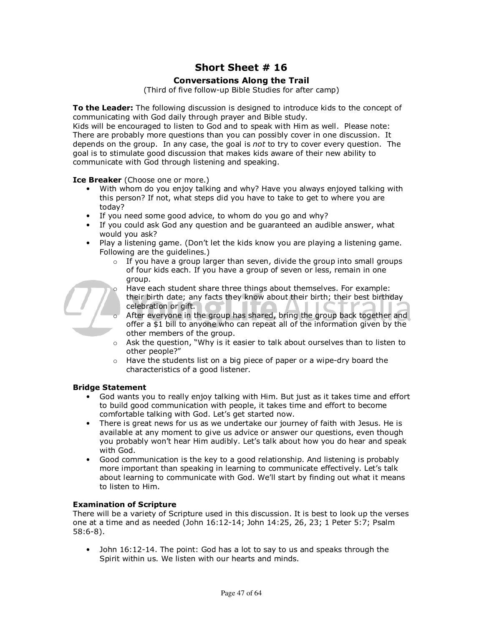# **Short Sheet # 16**

# **Conversations Along the Trail**

(Third of five follow-up Bible Studies for after camp)

**To the Leader:** The following discussion is designed to introduce kids to the concept of communicating with God daily through prayer and Bible study.

Kids will be encouraged to listen to God and to speak with Him as well. Please note: There are probably more questions than you can possibly cover in one discussion. It depends on the group. In any case, the goal is *not* to try to cover every question. The goal is to stimulate good discussion that makes kids aware of their new ability to communicate with God through listening and speaking.

**Ice Breaker** (Choose one or more.)

- With whom do you enjoy talking and why? Have you always enjoyed talking with this person? If not, what steps did you have to take to get to where you are today?
- If you need some good advice, to whom do you go and why?
- If you could ask God any question and be guaranteed an audible answer, what would you ask?
- Play a listening game. (Don't let the kids know you are playing a listening game. Following are the guidelines.)
	- $\circ$  If you have a group larger than seven, divide the group into small groups of four kids each. If you have a group of seven or less, remain in one group.
- - Have each student share three things about themselves. For example: their birth date; any facts they know about their birth; their best birthday celebration or gift.
	- After everyone in the group has shared, bring the group back together and offer a \$1 bill to anyone who can repeat all of the information given by the other members of the group.
	- o Ask the question, "Why is it easier to talk about ourselves than to listen to other people?"
	- o Have the students list on a big piece of paper or a wipe-dry board the characteristics of a good listener.

#### **Bridge Statement**

- God wants you to really enjoy talking with Him. But just as it takes time and effort to build good communication with people, it takes time and effort to become comfortable talking with God. Let's get started now.
- There is great news for us as we undertake our journey of faith with Jesus. He is available at any moment to give us advice or answer our questions, even though you probably won't hear Him audibly. Let's talk about how you do hear and speak with God.
- Good communication is the key to a good relationship. And listening is probably more important than speaking in learning to communicate effectively. Let's talk about learning to communicate with God. We'll start by finding out what it means to listen to Him.

#### **Examination of Scripture**

There will be a variety of Scripture used in this discussion. It is best to look up the verses one at a time and as needed (John 16:12-14; John 14:25, 26, 23; 1 Peter 5:7; Psalm 58:6-8).

• John 16:12-14. The point: God has a lot to say to us and speaks through the Spirit within us. We listen with our hearts and minds.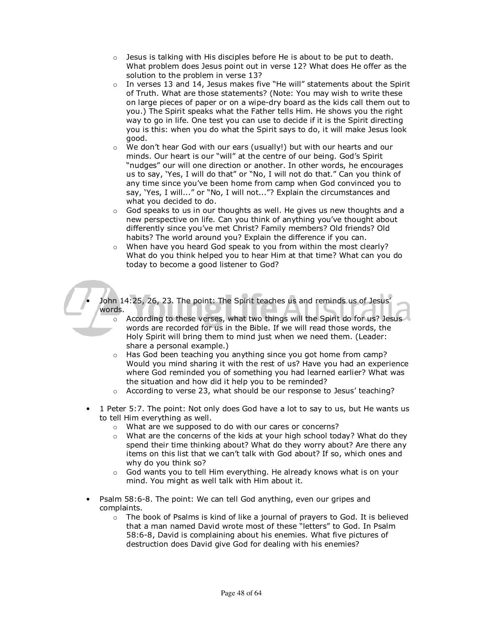- $\circ$  Jesus is talking with His disciples before He is about to be put to death. What problem does Jesus point out in verse 12? What does He offer as the solution to the problem in verse 13?
- $\circ$  In verses 13 and 14, Jesus makes five "He will" statements about the Spirit of Truth. What are those statements? (Note: You may wish to write these on large pieces of paper or on a wipe-dry board as the kids call them out to you.) The Spirit speaks what the Father tells Him. He shows you the right way to go in life. One test you can use to decide if it is the Spirit directing you is this: when you do what the Spirit says to do, it will make Jesus look good.
- $\circ$  We don't hear God with our ears (usually!) but with our hearts and our minds. Our heart is our "will" at the centre of our being. God's Spirit "nudges" our will one direction or another. In other words, he encourages us to say, 'Yes, I will do that" or "No, I will not do that." Can you think of any time since you've been home from camp when God convinced you to say, 'Yes, I will..." or "No, I will not..."? Explain the circumstances and what you decided to do.
- $\circ$  God speaks to us in our thoughts as well. He gives us new thoughts and a new perspective on life. Can you think of anything you've thought about differently since you've met Christ? Family members? Old friends? Old habits? The world around you? Explain the difference if you can.
- o When have you heard God speak to you from within the most clearly? What do you think helped you to hear Him at that time? What can you do today to become a good listener to God?

John 14:25, 26, 23. The point: The Spirit teaches us and reminds us of Jesus' words.

- $\circ$  According to these verses, what two things will the Spirit do for us? Jesus words are recorded for us in the Bible. If we will read those words, the Holy Spirit will bring them to mind just when we need them. (Leader: share a personal example.)
- o Has God been teaching you anything since you got home from camp? Would you mind sharing it with the rest of us? Have you had an experience where God reminded you of something you had learned earlier? What was the situation and how did it help you to be reminded?
- o According to verse 23, what should be our response to Jesus' teaching?
- 1 Peter 5:7. The point: Not only does God have a lot to say to us, but He wants us to tell Him everything as well.
	- o What are we supposed to do with our cares or concerns?
	- $\circ$  What are the concerns of the kids at your high school today? What do they spend their time thinking about? What do they worry about? Are there any items on this list that we can't talk with God about? If so, which ones and why do you think so?
	- $\circ$  God wants you to tell Him everything. He already knows what is on your mind. You might as well talk with Him about it.
- Psalm 58:6-8. The point: We can tell God anything, even our gripes and complaints.
	- $\circ$  The book of Psalms is kind of like a journal of prayers to God. It is believed that a man named David wrote most of these "letters" to God. In Psalm 58:6-8, David is complaining about his enemies. What five pictures of destruction does David give God for dealing with his enemies?